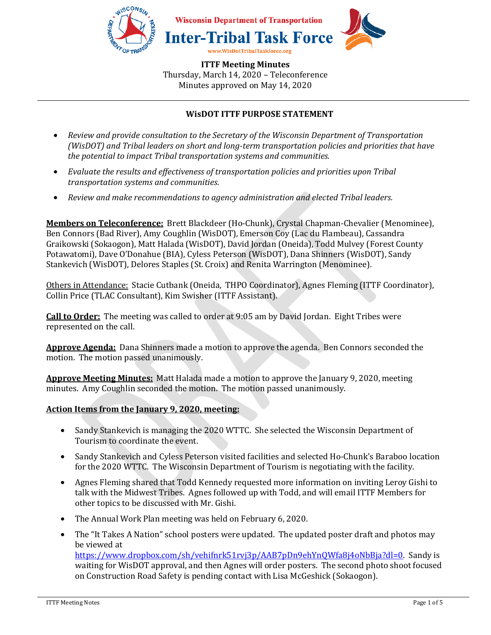

# **WisDOT ITTF PURPOSE STATEMENT**

- *Review and provide consultation to the Secretary of the Wisconsin Department of Transportation (WisDOT) and Tribal leaders on short and long-term transportation policies and priorities that have the potential to impact Tribal transportation systems and communities.*
- *Evaluate the results and effectiveness of transportation policies and priorities upon Tribal transportation systems and communities.*
- *Review and make recommendations to agency administration and elected Tribal leaders.*

**Members on Teleconference:** Brett Blackdeer (Ho-Chunk), Crystal Chapman-Chevalier (Menominee), Ben Connors (Bad River), Amy Coughlin (WisDOT), Emerson Coy (Lac du Flambeau), Cassandra Graikowski (Sokaogon), Matt Halada (WisDOT), David Jordan (Oneida), Todd Mulvey (Forest County Potawatomi), Dave O'Donahue (BIA), Cyless Peterson (WisDOT), Dana Shinners (WisDOT), Sandy Stankevich (WisDOT), Delores Staples (St. Croix) and Renita Warrington (Menominee).

Others in Attendance: Stacie Cutbank (Oneida, THPO Coordinator), Agnes Fleming (ITTF Coordinator), Collin Price (TLAC Consultant), Kim Swisher (ITTF Assistant).

**Call to Order:** The meeting was called to order at 9:05 am by David Jordan. Eight Tribes were represented on the call.

**Approve Agenda:** Dana Shinners made a motion to approve the agenda. Ben Connors seconded the motion. The motion passed unanimously.

**Approve Meeting Minutes:** Matt Halada made a motion to approve the January 9, 2020, meeting minutes. Amy Coughlin seconded the motion. The motion passed unanimously.

### **Action Items from the January 9, 2020, meeting:**

- Sandy Stankevich is managing the 2020 WTTC. She selected the Wisconsin Department of Tourism to coordinate the event.
- Sandy Stankevich and Cyless Peterson visited facilities and selected Ho-Chunk's Baraboo location for the 2020 WTTC. The Wisconsin Department of Tourism is negotiating with the facility.
- Agnes Fleming shared that Todd Kennedy requested more information on inviting Leroy Gishi to talk with the Midwest Tribes. Agnes followed up with Todd, and will email ITTF Members for other topics to be discussed with Mr. Gishi.
- The Annual Work Plan meeting was held on February 6, 2020.
- The "It Takes A Nation" school posters were updated. The updated poster draft and photos may be viewed at https://www.dropbox.com/sh/vehifnrk51rvj3p/AAB7pDn9ehYnQWfa8j4oNbBja?dl=0. Sandy is waiting for WisDOT approval, and then Agnes will order posters. The second photo shoot focused on Construction Road Safety is pending contact with Lisa McGeshick (Sokaogon).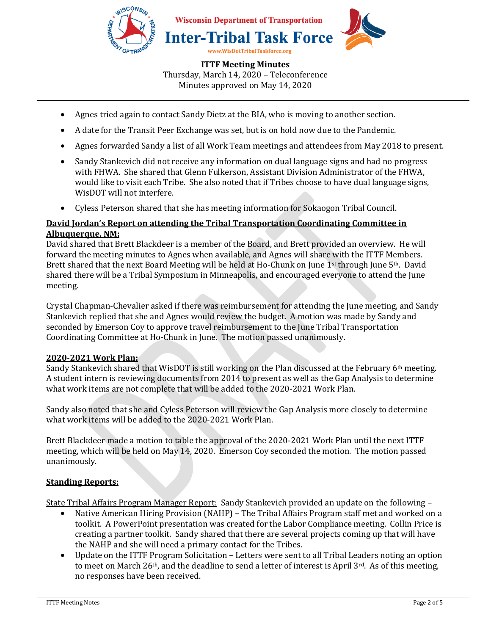

- Agnes tried again to contact Sandy Dietz at the BIA, who is moving to another section.
- A date for the Transit Peer Exchange was set, but is on hold now due to the Pandemic.
- Agnes forwarded Sandy a list of all Work Team meetings and attendees from May 2018 to present.
- Sandy Stankevich did not receive any information on dual language signs and had no progress with FHWA. She shared that Glenn Fulkerson, Assistant Division Administrator of the FHWA, would like to visit each Tribe. She also noted that if Tribes choose to have dual language signs, WisDOT will not interfere.
- Cyless Peterson shared that she has meeting information for Sokaogon Tribal Council.

#### **David Jordan's Report on attending the Tribal Transportation Coordinating Committee in Albuquerque, NM:**

David shared that Brett Blackdeer is a member of the Board, and Brett provided an overview. He will forward the meeting minutes to Agnes when available, and Agnes will share with the ITTF Members. Brett shared that the next Board Meeting will be held at Ho-Chunk on June 1st through June 5th. David shared there will be a Tribal Symposium in Minneapolis, and encouraged everyone to attend the June meeting.

Crystal Chapman-Chevalier asked if there was reimbursement for attending the June meeting, and Sandy Stankevich replied that she and Agnes would review the budget. A motion was made by Sandy and seconded by Emerson Coy to approve travel reimbursement to the June Tribal Transportation Coordinating Committee at Ho-Chunk in June. The motion passed unanimously.

### **2020-2021 Work Plan:**

Sandy Stankevich shared that WisDOT is still working on the Plan discussed at the February 6th meeting. A student intern is reviewing documents from 2014 to present as well as the Gap Analysis to determine what work items are not complete that will be added to the 2020-2021 Work Plan.

Sandy also noted that she and Cyless Peterson will review the Gap Analysis more closely to determine what work items will be added to the 2020-2021 Work Plan.

Brett Blackdeer made a motion to table the approval of the 2020-2021 Work Plan until the next ITTF meeting, which will be held on May 14, 2020. Emerson Coy seconded the motion. The motion passed unanimously.

#### **Standing Reports:**

State Tribal Affairs Program Manager Report: Sandy Stankevich provided an update on the following –

- Native American Hiring Provision (NAHP) The Tribal Affairs Program staff met and worked on a toolkit. A PowerPoint presentation was created for the Labor Compliance meeting. Collin Price is creating a partner toolkit. Sandy shared that there are several projects coming up that will have the NAHP and she will need a primary contact for the Tribes.
- Update on the ITTF Program Solicitation Letters were sent to all Tribal Leaders noting an option to meet on March 26<sup>th</sup>, and the deadline to send a letter of interest is April  $3^{rd}$ . As of this meeting, no responses have been received.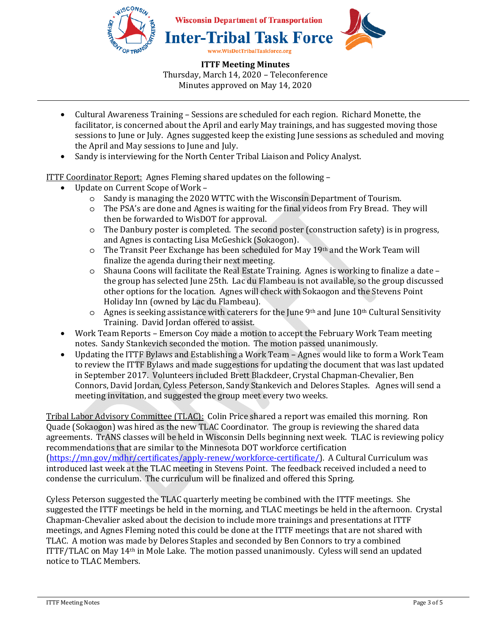

- Cultural Awareness Training Sessions are scheduled for each region. Richard Monette, the facilitator, is concerned about the April and early May trainings, and has suggested moving those sessions to June or July. Agnes suggested keep the existing June sessions as scheduled and moving the April and May sessions to June and July.
- Sandy is interviewing for the North Center Tribal Liaison and Policy Analyst.

ITTF Coordinator Report: Agnes Fleming shared updates on the following –

- Update on Current Scope of Work
	- o Sandy is managing the 2020 WTTC with the Wisconsin Department of Tourism.
	- o The PSA's are done and Agnes is waiting for the final videos from Fry Bread. They will then be forwarded to WisDOT for approval.
	- o The Danbury poster is completed. The second poster (construction safety) is in progress, and Agnes is contacting Lisa McGeshick (Sokaogon).
	- $\circ$  The Transit Peer Exchange has been scheduled for May 19<sup>th</sup> and the Work Team will finalize the agenda during their next meeting.
	- $\circ$  Shauna Coons will facilitate the Real Estate Training. Agnes is working to finalize a date the group has selected June 25th. Lac du Flambeau is not available, so the group discussed other options for the location. Agnes will check with Sokaogon and the Stevens Point Holiday Inn (owned by Lac du Flambeau).
	- $\circ$  Agnes is seeking assistance with caterers for the June 9<sup>th</sup> and June 10<sup>th</sup> Cultural Sensitivity Training. David Jordan offered to assist.
- Work Team Reports Emerson Coy made a motion to accept the February Work Team meeting notes. Sandy Stankevich seconded the motion. The motion passed unanimously.
- Updating the ITTF Bylaws and Establishing a Work Team Agnes would like to form a Work Team to review the ITTF Bylaws and made suggestions for updating the document that was last updated in September 2017. Volunteers included Brett Blackdeer, Crystal Chapman-Chevalier, Ben Connors, David Jordan, Cyless Peterson, Sandy Stankevich and Delores Staples. Agnes will send a meeting invitation, and suggested the group meet every two weeks.

Tribal Labor Advisory Committee (TLAC): Colin Price shared a report was emailed this morning. Ron Quade (Sokaogon) was hired as the new TLAC Coordinator. The group is reviewing the shared data agreements. TrANS classes will be held in Wisconsin Dells beginning next week. TLAC is reviewing policy recommendations that are similar to the Minnesota DOT workforce certification (https://mn.gov/mdhr/certificates/apply-renew/workforce-certificate/). A Cultural Curriculum was introduced last week at the TLAC meeting in Stevens Point. The feedback received included a need to condense the curriculum. The curriculum will be finalized and offered this Spring.

Cyless Peterson suggested the TLAC quarterly meeting be combined with the ITTF meetings. She suggested the ITTF meetings be held in the morning, and TLAC meetings be held in the afternoon. Crystal Chapman-Chevalier asked about the decision to include more trainings and presentations at ITTF meetings, and Agnes Fleming noted this could be done at the ITTF meetings that are not shared with TLAC. A motion was made by Delores Staples and seconded by Ben Connors to try a combined ITTF/TLAC on May 14th in Mole Lake. The motion passed unanimously. Cyless will send an updated notice to TLAC Members.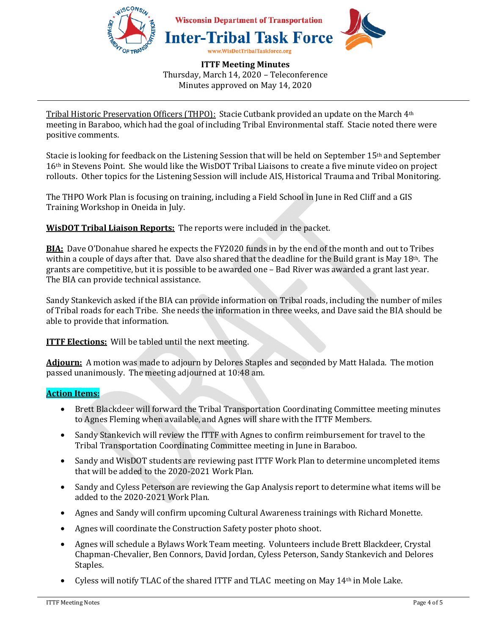

Tribal Historic Preservation Officers (THPO): Stacie Cutbank provided an update on the March 4th meeting in Baraboo, which had the goal of including Tribal Environmental staff. Stacie noted there were positive comments.

Stacie is looking for feedback on the Listening Session that will be held on September 15th and September 16th in Stevens Point. She would like the WisDOT Tribal Liaisons to create a five minute video on project rollouts. Other topics for the Listening Session will include AIS, Historical Trauma and Tribal Monitoring.

The THPO Work Plan is focusing on training, including a Field School in June in Red Cliff and a GIS Training Workshop in Oneida in July.

**WisDOT Tribal Liaison Reports:** The reports were included in the packet.

**BIA:** Dave O'Donahue shared he expects the FY2020 funds in by the end of the month and out to Tribes within a couple of days after that. Dave also shared that the deadline for the Build grant is May 18th. The grants are competitive, but it is possible to be awarded one – Bad River was awarded a grant last year. The BIA can provide technical assistance.

Sandy Stankevich asked if the BIA can provide information on Tribal roads, including the number of miles of Tribal roads for each Tribe. She needs the information in three weeks, and Dave said the BIA should be able to provide that information.

**ITTF Elections:** Will be tabled until the next meeting.

**Adjourn:** A motion was made to adjourn by Delores Staples and seconded by Matt Halada. The motion passed unanimously. The meeting adjourned at 10:48 am.

### **Action Items:**

- Brett Blackdeer will forward the Tribal Transportation Coordinating Committee meeting minutes to Agnes Fleming when available, and Agnes will share with the ITTF Members.
- Sandy Stankevich will review the ITTF with Agnes to confirm reimbursement for travel to the Tribal Transportation Coordinating Committee meeting in June in Baraboo.
- Sandy and WisDOT students are reviewing past ITTF Work Plan to determine uncompleted items that will be added to the 2020-2021 Work Plan.
- Sandy and Cyless Peterson are reviewing the Gap Analysis report to determine what items will be added to the 2020-2021 Work Plan.
- Agnes and Sandy will confirm upcoming Cultural Awareness trainings with Richard Monette.
- Agnes will coordinate the Construction Safety poster photo shoot.
- Agnes will schedule a Bylaws Work Team meeting. Volunteers include Brett Blackdeer, Crystal Chapman-Chevalier, Ben Connors, David Jordan, Cyless Peterson, Sandy Stankevich and Delores Staples.
- Cyless will notify TLAC of the shared ITTF and TLAC meeting on May 14<sup>th</sup> in Mole Lake.